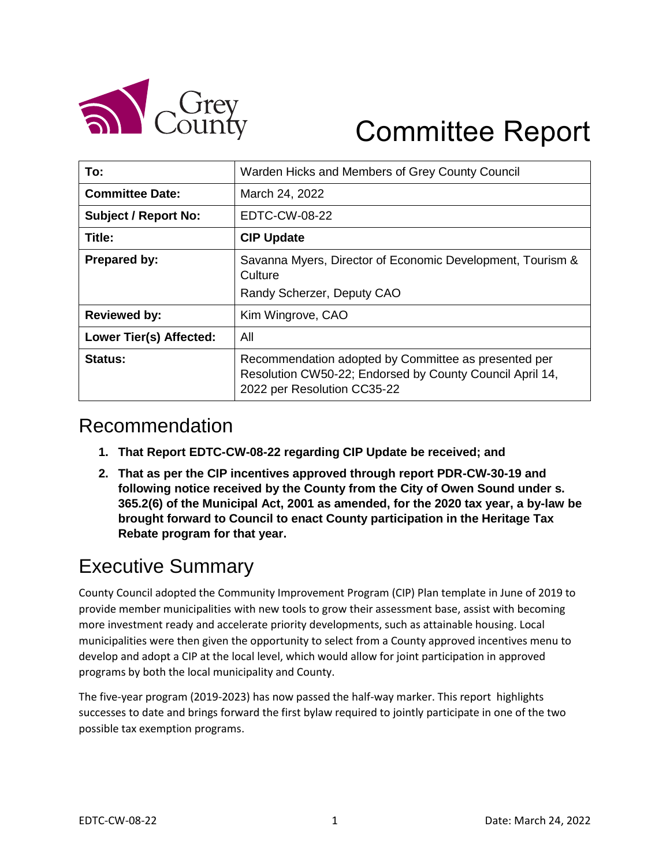

# Committee Report

| To:                         | Warden Hicks and Members of Grey County Council                                                                                                 |
|-----------------------------|-------------------------------------------------------------------------------------------------------------------------------------------------|
| <b>Committee Date:</b>      | March 24, 2022                                                                                                                                  |
| <b>Subject / Report No:</b> | EDTC-CW-08-22                                                                                                                                   |
| Title:                      | <b>CIP Update</b>                                                                                                                               |
| <b>Prepared by:</b>         | Savanna Myers, Director of Economic Development, Tourism &<br>Culture                                                                           |
|                             | Randy Scherzer, Deputy CAO                                                                                                                      |
| <b>Reviewed by:</b>         | Kim Wingrove, CAO                                                                                                                               |
| Lower Tier(s) Affected:     | All                                                                                                                                             |
| Status:                     | Recommendation adopted by Committee as presented per<br>Resolution CW50-22; Endorsed by County Council April 14,<br>2022 per Resolution CC35-22 |

### Recommendation

- **1. That Report EDTC-CW-08-22 regarding CIP Update be received; and**
- **2. That as per the CIP incentives approved through report PDR-CW-30-19 and following notice received by the County from the City of Owen Sound under s. 365.2(6) of the Municipal Act, 2001 as amended, for the 2020 tax year, a by-law be brought forward to Council to enact County participation in the Heritage Tax Rebate program for that year.**

# Executive Summary

County Council adopted the Community Improvement Program (CIP) Plan template in June of 2019 to provide member municipalities with new tools to grow their assessment base, assist with becoming more investment ready and accelerate priority developments, such as attainable housing. Local municipalities were then given the opportunity to select from a County approved incentives menu to develop and adopt a CIP at the local level, which would allow for joint participation in approved programs by both the local municipality and County.

The five-year program (2019-2023) has now passed the half-way marker. This report highlights successes to date and brings forward the first bylaw required to jointly participate in one of the two possible tax exemption programs.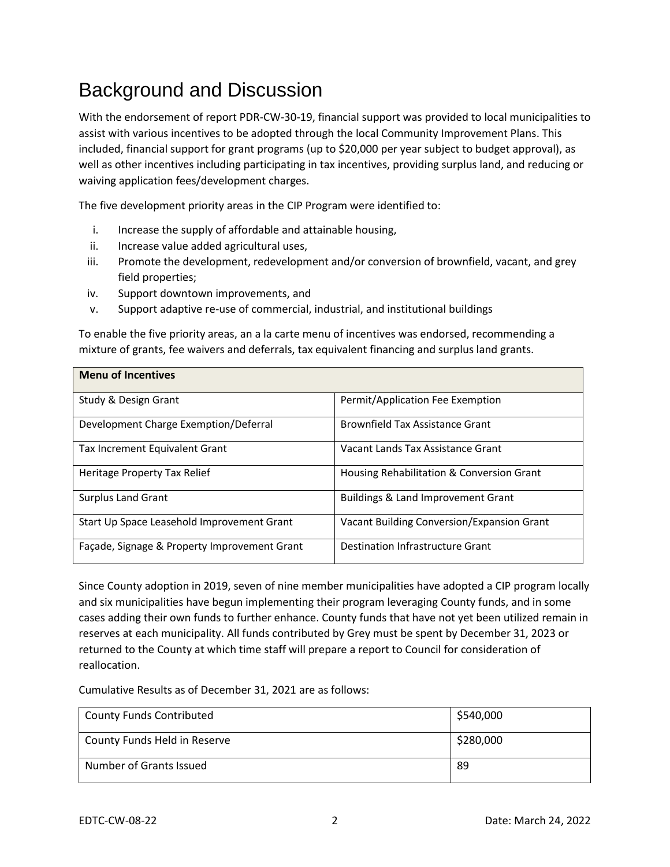# Background and Discussion

With the endorsement of report PDR-CW-30-19, financial support was provided to local municipalities to assist with various incentives to be adopted through the local Community Improvement Plans. This included, financial support for grant programs (up to \$20,000 per year subject to budget approval), as well as other incentives including participating in tax incentives, providing surplus land, and reducing or waiving application fees/development charges.

The five development priority areas in the CIP Program were identified to:

- i. Increase the supply of affordable and attainable housing,
- ii. Increase value added agricultural uses,
- iii. Promote the development, redevelopment and/or conversion of brownfield, vacant, and grey field properties;
- iv. Support downtown improvements, and
- v. Support adaptive re-use of commercial, industrial, and institutional buildings

To enable the five priority areas, an a la carte menu of incentives was endorsed, recommending a mixture of grants, fee waivers and deferrals, tax equivalent financing and surplus land grants.

| <b>Menu of Incentives</b>                    |                                            |
|----------------------------------------------|--------------------------------------------|
| Study & Design Grant                         | Permit/Application Fee Exemption           |
| Development Charge Exemption/Deferral        | <b>Brownfield Tax Assistance Grant</b>     |
| Tax Increment Equivalent Grant               | Vacant Lands Tax Assistance Grant          |
| Heritage Property Tax Relief                 | Housing Rehabilitation & Conversion Grant  |
| <b>Surplus Land Grant</b>                    | Buildings & Land Improvement Grant         |
| Start Up Space Leasehold Improvement Grant   | Vacant Building Conversion/Expansion Grant |
| Façade, Signage & Property Improvement Grant | Destination Infrastructure Grant           |

Since County adoption in 2019, seven of nine member municipalities have adopted a CIP program locally and six municipalities have begun implementing their program leveraging County funds, and in some cases adding their own funds to further enhance. County funds that have not yet been utilized remain in reserves at each municipality. All funds contributed by Grey must be spent by December 31, 2023 or returned to the County at which time staff will prepare a report to Council for consideration of reallocation.

Cumulative Results as of December 31, 2021 are as follows:

| <b>County Funds Contributed</b> | \$540,000 |
|---------------------------------|-----------|
| County Funds Held in Reserve    | \$280,000 |
| Number of Grants Issued         | -89       |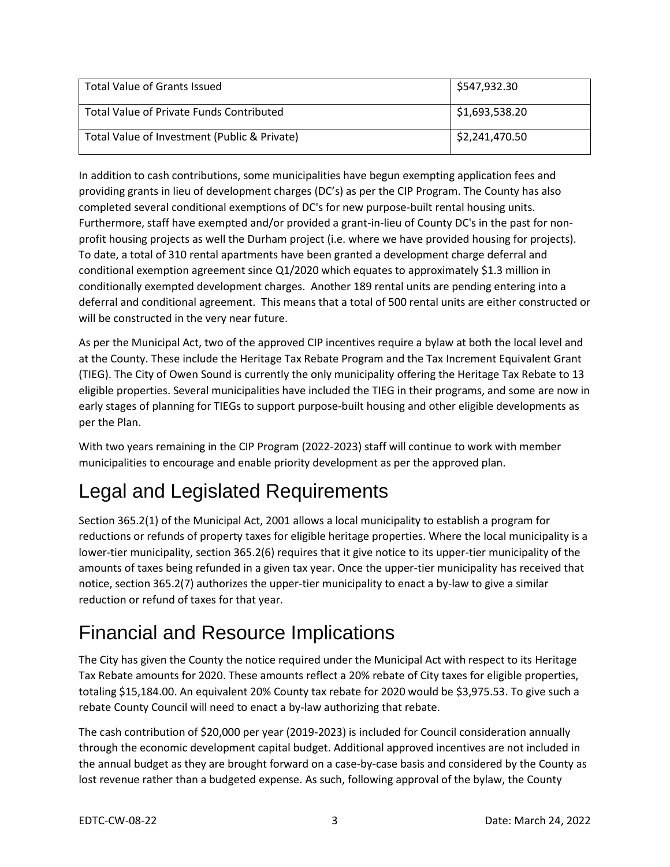| <b>Total Value of Grants Issued</b>          | \$547,932.30   |
|----------------------------------------------|----------------|
| Total Value of Private Funds Contributed     | \$1,693,538.20 |
| Total Value of Investment (Public & Private) | \$2,241,470.50 |

In addition to cash contributions, some municipalities have begun exempting application fees and providing grants in lieu of development charges (DC's) as per the CIP Program. The County has also completed several conditional exemptions of DC's for new purpose-built rental housing units. Furthermore, staff have exempted and/or provided a grant-in-lieu of County DC's in the past for nonprofit housing projects as well the Durham project (i.e. where we have provided housing for projects). To date, a total of 310 rental apartments have been granted a development charge deferral and conditional exemption agreement since Q1/2020 which equates to approximately \$1.3 million in conditionally exempted development charges. Another 189 rental units are pending entering into a deferral and conditional agreement. This means that a total of 500 rental units are either constructed or will be constructed in the very near future.

As per the Municipal Act, two of the approved CIP incentives require a bylaw at both the local level and at the County. These include the Heritage Tax Rebate Program and the Tax Increment Equivalent Grant (TIEG). The City of Owen Sound is currently the only municipality offering the Heritage Tax Rebate to 13 eligible properties. Several municipalities have included the TIEG in their programs, and some are now in early stages of planning for TIEGs to support purpose-built housing and other eligible developments as per the Plan.

With two years remaining in the CIP Program (2022-2023) staff will continue to work with member municipalities to encourage and enable priority development as per the approved plan.

# Legal and Legislated Requirements

Section 365.2(1) of the Municipal Act, 2001 allows a local municipality to establish a program for reductions or refunds of property taxes for eligible heritage properties. Where the local municipality is a lower-tier municipality, section 365.2(6) requires that it give notice to its upper-tier municipality of the amounts of taxes being refunded in a given tax year. Once the upper-tier municipality has received that notice, section 365.2(7) authorizes the upper-tier municipality to enact a by-law to give a similar reduction or refund of taxes for that year.

# Financial and Resource Implications

The City has given the County the notice required under the Municipal Act with respect to its Heritage Tax Rebate amounts for 2020. These amounts reflect a 20% rebate of City taxes for eligible properties, totaling \$15,184.00. An equivalent 20% County tax rebate for 2020 would be \$3,975.53. To give such a rebate County Council will need to enact a by-law authorizing that rebate.

The cash contribution of \$20,000 per year (2019-2023) is included for Council consideration annually through the economic development capital budget. Additional approved incentives are not included in the annual budget as they are brought forward on a case-by-case basis and considered by the County as lost revenue rather than a budgeted expense. As such, following approval of the bylaw, the County